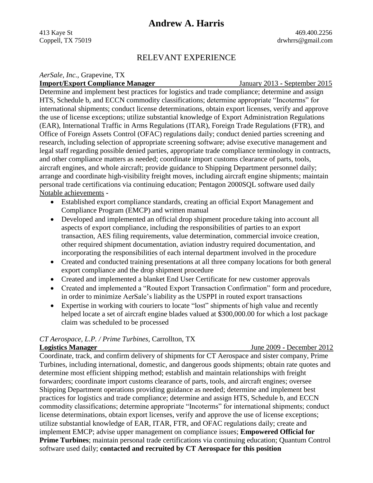# **Andrew A. Harris**

413 Kaye St 469.400.2256 Coppell, TX 75019 drwhrrs@gmail.com

## RELEVANT EXPERIENCE

*AerSale, Inc.*, Grapevine, TX

**Import/Export Compliance Manager**January 2013 **-** September 2015

Determine and implement best practices for logistics and trade compliance; determine and assign HTS, Schedule b, and ECCN commodity classifications; determine appropriate "Incoterms" for international shipments; conduct license determinations, obtain export licenses, verify and approve the use of license exceptions; utilize substantial knowledge of Export Administration Regulations (EAR), International Traffic in Arms Regulations (ITAR), Foreign Trade Regulations (FTR), and Office of Foreign Assets Control (OFAC) regulations daily; conduct denied parties screening and research, including selection of appropriate screening software; advise executive management and legal staff regarding possible denied parties, appropriate trade compliance terminology in contracts, and other compliance matters as needed; coordinate import customs clearance of parts, tools, aircraft engines, and whole aircraft; provide guidance to Shipping Department personnel daily; arrange and coordinate high-visibility freight moves, including aircraft engine shipments; maintain personal trade certifications via continuing education; Pentagon 2000SQL software used daily Notable achievements **-**

- Established export compliance standards, creating an official Export Management and Compliance Program (EMCP) and written manual
- Developed and implemented an official drop shipment procedure taking into account all aspects of export compliance, including the responsibilities of parties to an export transaction, AES filing requirements, value determination, commercial invoice creation, other required shipment documentation, aviation industry required documentation, and incorporating the responsibilities of each internal department involved in the procedure
- Created and conducted training presentations at all three company locations for both general export compliance and the drop shipment procedure
- Created and implemented a blanket End User Certificate for new customer approvals
- Created and implemented a "Routed Export Transaction Confirmation" form and procedure, in order to minimize AerSale's liability as the USPPI in routed export transactions
- Expertise in working with couriers to locate "lost" shipments of high value and recently helped locate a set of aircraft engine blades valued at \$300,000.00 for which a lost package claim was scheduled to be processed

# *CT Aerospace, L.P. / Prime Turbines*, Carrollton, TX

**Logistics Manager**June 2009 **-** December 2012

Coordinate, track, and confirm delivery of shipments for CT Aerospace and sister company, Prime Turbines, including international, domestic, and dangerous goods shipments; obtain rate quotes and determine most efficient shipping method; establish and maintain relationships with freight forwarders; coordinate import customs clearance of parts, tools, and aircraft engines; oversee Shipping Department operations providing guidance as needed; determine and implement best practices for logistics and trade compliance; determine and assign HTS, Schedule b, and ECCN commodity classifications; determine appropriate "Incoterms" for international shipments; conduct license determinations, obtain export licenses, verify and approve the use of license exceptions; utilize substantial knowledge of EAR, ITAR, FTR, and OFAC regulations daily; create and implement EMCP; advise upper management on compliance issues; **Empowered Official for Prime Turbines**; maintain personal trade certifications via continuing education; Quantum Control software used daily; **contacted and recruited by CT Aerospace for this position**